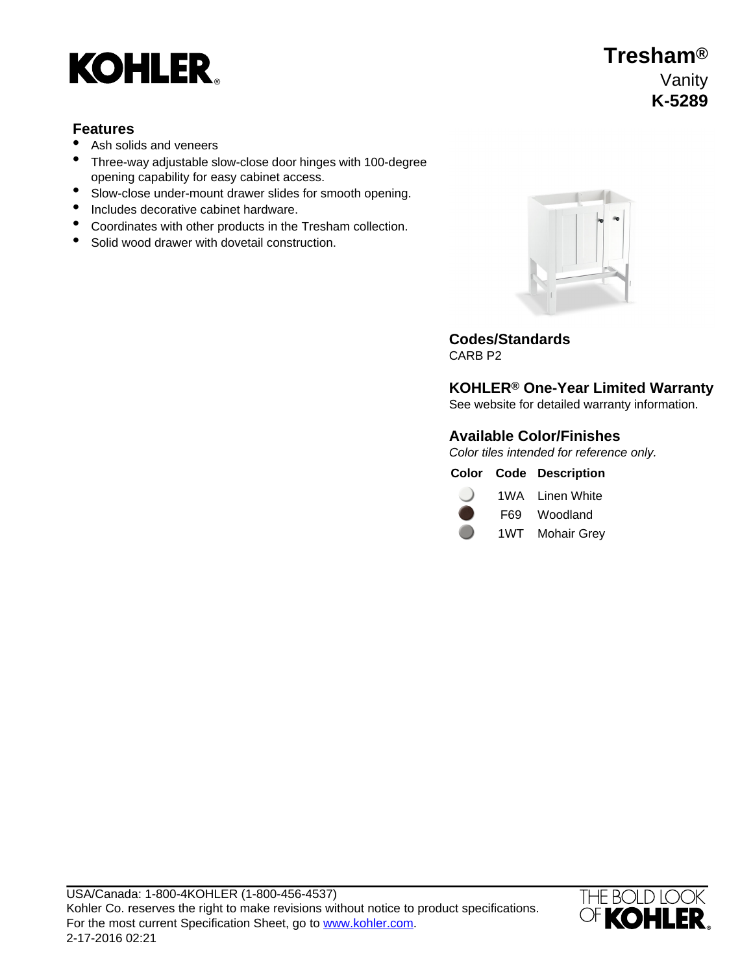

# **Tresham®** Vanity **K-5289**

## **Features**

- Ash solids and veneers
- Three-way adjustable slow-close door hinges with 100-degree opening capability for easy cabinet access.
- Slow-close under-mount drawer slides for smooth opening.
- Includes decorative cabinet hardware.
- Coordinates with other products in the Tresham collection.
- Solid wood drawer with dovetail construction.



**Codes/Standards** CARB P2

**KOHLER® One-Year Limited Warranty**

See website for detailed warranty information.

### **Available Color/Finishes**

Color tiles intended for reference only.

|  | <b>Color Code Description</b> |
|--|-------------------------------|
|  |                               |



1WA Linen White

F69 Woodland 1WT Mohair Grey